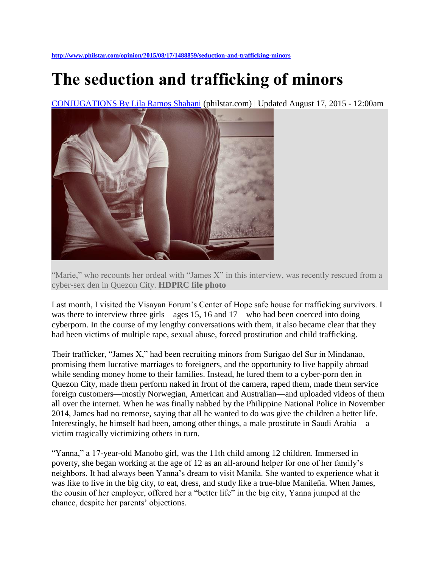## **The seduction and trafficking of minors**

[CONJUGATIONS By Lila Ramos Shahani](http://www.philstar.com/author/Lila%20Ramos%20Shahani/CONJUGATIONS) (philstar.com) | Updated August 17, 2015 - 12:00am



"Marie," who recounts her ordeal with "James X" in this interview, was recently rescued from a cyber-sex den in Quezon City. **HDPRC file photo**

Last month, I visited the Visayan Forum's Center of Hope safe house for trafficking survivors. I was there to interview three girls—ages 15, 16 and 17—who had been coerced into doing cyberporn. In the course of my lengthy conversations with them, it also became clear that they had been victims of multiple rape, sexual abuse, forced prostitution and child trafficking.

Their trafficker, "James X," had been recruiting minors from Surigao del Sur in Mindanao, promising them lucrative marriages to foreigners, and the opportunity to live happily abroad while sending money home to their families. Instead, he lured them to a cyber-porn den in Quezon City, made them perform naked in front of the camera, raped them, made them service foreign customers—mostly Norwegian, American and Australian—and uploaded videos of them all over the internet. When he was finally nabbed by the Philippine National Police in November 2014, James had no remorse, saying that all he wanted to do was give the children a better life. Interestingly, he himself had been, among other things, a male prostitute in Saudi Arabia—a victim tragically victimizing others in turn.

"Yanna," a 17-year-old Manobo girl, was the 11th child among 12 children. Immersed in poverty, she began working at the age of 12 as an all-around helper for one of her family's neighbors. It had always been Yanna's dream to visit Manila. She wanted to experience what it was like to live in the big city, to eat, dress, and study like a true-blue Manileña. When James, the cousin of her employer, offered her a "better life" in the big city, Yanna jumped at the chance, despite her parents' objections.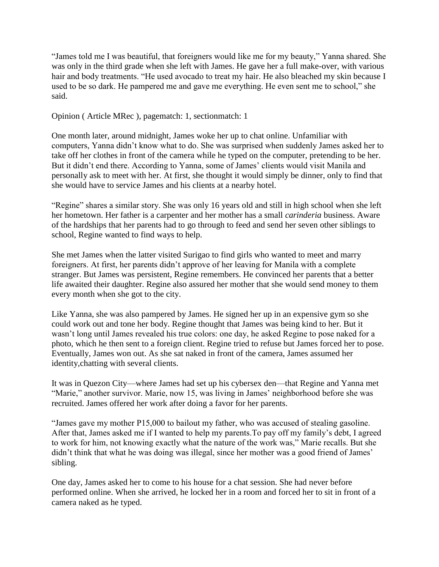"James told me I was beautiful, that foreigners would like me for my beauty," Yanna shared. She was only in the third grade when she left with James. He gave her a full make-over, with various hair and body treatments. "He used avocado to treat my hair. He also bleached my skin because I used to be so dark. He pampered me and gave me everything. He even sent me to school," she said.

Opinion ( Article MRec ), pagematch: 1, sectionmatch: 1

One month later, around midnight, James woke her up to chat online. Unfamiliar with computers, Yanna didn't know what to do. She was surprised when suddenly James asked her to take off her clothes in front of the camera while he typed on the computer, pretending to be her. But it didn't end there. According to Yanna, some of James' clients would visit Manila and personally ask to meet with her. At first, she thought it would simply be dinner, only to find that she would have to service James and his clients at a nearby hotel.

"Regine" shares a similar story. She was only 16 years old and still in high school when she left her hometown. Her father is a carpenter and her mother has a small *carinderia* business. Aware of the hardships that her parents had to go through to feed and send her seven other siblings to school, Regine wanted to find ways to help.

She met James when the latter visited Surigao to find girls who wanted to meet and marry foreigners. At first, her parents didn't approve of her leaving for Manila with a complete stranger. But James was persistent, Regine remembers. He convinced her parents that a better life awaited their daughter. Regine also assured her mother that she would send money to them every month when she got to the city.

Like Yanna, she was also pampered by James. He signed her up in an expensive gym so she could work out and tone her body. Regine thought that James was being kind to her. But it wasn't long until James revealed his true colors: one day, he asked Regine to pose naked for a photo, which he then sent to a foreign client. Regine tried to refuse but James forced her to pose. Eventually, James won out. As she sat naked in front of the camera, James assumed her identity,chatting with several clients.

It was in Quezon City—where James had set up his cybersex den—that Regine and Yanna met "Marie," another survivor. Marie, now 15, was living in James' neighborhood before she was recruited. James offered her work after doing a favor for her parents.

"James gave my mother P15,000 to bailout my father, who was accused of stealing gasoline. After that, James asked me if I wanted to help my parents.To pay off my family's debt, I agreed to work for him, not knowing exactly what the nature of the work was," Marie recalls. But she didn't think that what he was doing was illegal, since her mother was a good friend of James' sibling.

One day, James asked her to come to his house for a chat session. She had never before performed online. When she arrived, he locked her in a room and forced her to sit in front of a camera naked as he typed.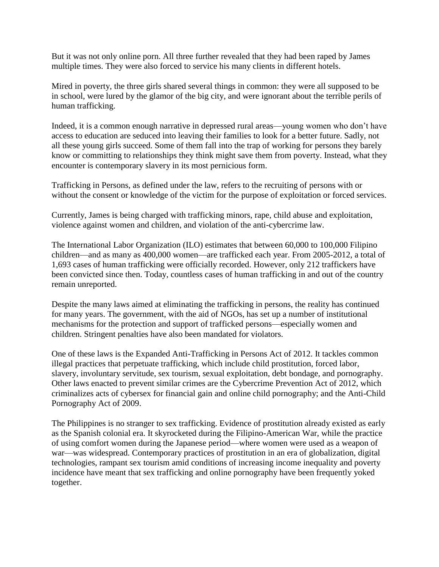But it was not only online porn. All three further revealed that they had been raped by James multiple times. They were also forced to service his many clients in different hotels.

Mired in poverty, the three girls shared several things in common: they were all supposed to be in school, were lured by the glamor of the big city, and were ignorant about the terrible perils of human trafficking.

Indeed, it is a common enough narrative in depressed rural areas—young women who don't have access to education are seduced into leaving their families to look for a better future. Sadly, not all these young girls succeed. Some of them fall into the trap of working for persons they barely know or committing to relationships they think might save them from poverty. Instead, what they encounter is contemporary slavery in its most pernicious form.

Trafficking in Persons, as defined under the law, refers to the recruiting of persons with or without the consent or knowledge of the victim for the purpose of exploitation or forced services.

Currently, James is being charged with trafficking minors, rape, child abuse and exploitation, violence against women and children, and violation of the anti-cybercrime law.

The International Labor Organization (ILO) estimates that between 60,000 to 100,000 Filipino children—and as many as 400,000 women—are trafficked each year. From 2005-2012, a total of 1,693 cases of human trafficking were officially recorded. However, only 212 traffickers have been convicted since then. Today, countless cases of human trafficking in and out of the country remain unreported.

Despite the many laws aimed at eliminating the trafficking in persons, the reality has continued for many years. The government, with the aid of NGOs, has set up a number of institutional mechanisms for the protection and support of trafficked persons—especially women and children. Stringent penalties have also been mandated for violators.

One of these laws is the Expanded Anti-Trafficking in Persons Act of 2012. It tackles common illegal practices that perpetuate trafficking, which include child prostitution, forced labor, slavery, involuntary servitude, sex tourism, sexual exploitation, debt bondage, and pornography. Other laws enacted to prevent similar crimes are the Cybercrime Prevention Act of 2012, which criminalizes acts of cybersex for financial gain and online child pornography; and the Anti-Child Pornography Act of 2009.

The Philippines is no stranger to sex trafficking. Evidence of prostitution already existed as early as the Spanish colonial era. It skyrocketed during the Filipino-American War, while the practice of using comfort women during the Japanese period—where women were used as a weapon of war—was widespread. Contemporary practices of prostitution in an era of globalization, digital technologies, rampant sex tourism amid conditions of increasing income inequality and poverty incidence have meant that sex trafficking and online pornography have been frequently yoked together.